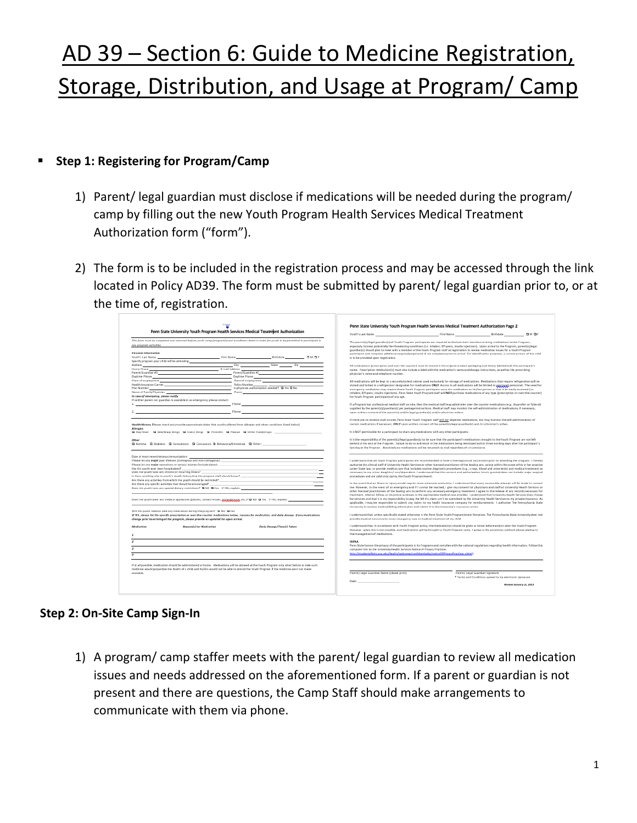# AD 39 – Section 6: Guide to Medicine Registration, Storage, Distribution, and Usage at Program/ Camp

#### **Step 1: Registering for Program/Camp**

- 1) Parent/ legal guardian must disclose if medications will be needed during the program/ camp by filling out the new Youth Program Health Services Medical Treatment Authorization form ("form").
- 2) The form is to be included in the registration process and may be accessed through the link located in Policy AD39. The form must be submitted by parent/ legal guardian prior to, or at the time of, registration.

|                                                                                                                                                                                                                                                                                                        | Penn State University Youth Program Health Services Medical Treatment Authorization Page 2                                                                                                                                                                                                                     |
|--------------------------------------------------------------------------------------------------------------------------------------------------------------------------------------------------------------------------------------------------------------------------------------------------------|----------------------------------------------------------------------------------------------------------------------------------------------------------------------------------------------------------------------------------------------------------------------------------------------------------------|
| Penn State University Youth Program Health Services Medical Treatment Authorization                                                                                                                                                                                                                    | First Name (First Name (First Name (First Name ) (First Name ) (Fig. 2) (Fig. 2) (Fig. 2) (Fig. 2) (Fig. 2) (Fig. 2) (Fig. 2) (Fig. 2) (Fig. 2) (Fig. 2) (Fig. 2) (Fig. 2) (Fig. 2) (Fig. 2) (Fig. 2) (Fig. 2) (Fig. 2) (Fig.<br>Youth's Last Name                                                             |
| This form must be completed and returned before youth comp/program/event enrollment dates in order for youth to be permitted to participate in                                                                                                                                                         | The parentici/legal guardian) of Youth Program participants are required to disclose their intention to bring medications to the Program,                                                                                                                                                                      |
| any pragram activities.                                                                                                                                                                                                                                                                                | especially to treat potentially life-threatening conditions (i.e. inhalers, EPI-pens, insulin injections). Upon antical to the Program, parentisi/legal                                                                                                                                                        |
|                                                                                                                                                                                                                                                                                                        | puardian(s) should plan to meet with a member of the Youth Program staff at registration to review medication issues for a Youth Program                                                                                                                                                                       |
| Personal Information                                                                                                                                                                                                                                                                                   | participant and complete additional required paperwork if not completed prior to arrival. For identification purposes, a current picture of the child                                                                                                                                                          |
| Youth's Last Narse                                                                                                                                                                                                                                                                                     | is to be provided upon restatation.                                                                                                                                                                                                                                                                            |
| Specify program your child will be attending                                                                                                                                                                                                                                                           |                                                                                                                                                                                                                                                                                                                |
| $Cky$ State $Zip$<br>Address 1                                                                                                                                                                                                                                                                         | All medications (prescription and over-the-counter) must be stored in the original product packaging and clearly labeled with the participant's                                                                                                                                                                |
| Home Phone                                                                                                                                                                                                                                                                                             | name. Prescription medicationful must also include a label with the medication's name and dosage instructions, as well as the prescribing                                                                                                                                                                      |
| $\begin{array}{c c c c c} \multicolumn{3}{ c }{\textbf{Formal Adistens}} & \multicolumn{3}{ c }{\textbf{Pereric}/\textbf{G} \textbf{u} \textbf{u} \textbf{r} \textbf{d} \textbf{t} \textbf{m}} \end{array}$<br>Parent/Guardian #1                                                                      | physician's name and telephone number.                                                                                                                                                                                                                                                                         |
|                                                                                                                                                                                                                                                                                                        |                                                                                                                                                                                                                                                                                                                |
| Place of employment and the control of employment and the control of employment                                                                                                                                                                                                                        | All medications will be legt in a securely locked cabinet used exclusively for storage of medications. Medications that require refrigeration will be                                                                                                                                                          |
| Policy Mumber                                                                                                                                                                                                                                                                                          | stored and locked in a refrigerator designated for medications GNLY. Access to all medications will be limited to appropriate personnel. The need for                                                                                                                                                          |
| Health Insurance Carrier <b>Carrier (1999)</b><br>Plan Number<br>Is physician authorization needed? O Yes O No                                                                                                                                                                                         | emergency medication may require that a Youth Program participant carry the medication on his/her person or that it be easily accessed (i.e.                                                                                                                                                                   |
| Name of Family Physician<br>Phone:                                                                                                                                                                                                                                                                     | inhalers, EPI-pens, insulin injections). Penn State Youth Program staff will NOT purchase medications of any type (prescription or over-the-counter)                                                                                                                                                           |
| In case of emergency, please notify                                                                                                                                                                                                                                                                    | for Youth Program participants of any age.                                                                                                                                                                                                                                                                     |
| If neither parent nor guardian is available in an emergency, please contact:                                                                                                                                                                                                                           |                                                                                                                                                                                                                                                                                                                |
| Phone Phone Committee and Committee Committee and Committee and Committee Committee and Committee and Committee and Committee and Committee and Committee and Committee and Committee and Committee and Committee and Committe                                                                         | If a Program has professional medical staff on-site, then the medical staff may administer over the counter medications (e.g., its profen or Tylenol)                                                                                                                                                          |
|                                                                                                                                                                                                                                                                                                        | supplied by the parentic//examber/si per package instructions. Medical staff may monitor the self-administration of medications. If necessary,                                                                                                                                                                 |
| Phone experience and the contract of the contract of the contract of the contract of the contract of the contract of the contract of the contract of the contract of the contract of the contract of the contract of the contr                                                                         | upon written consent of the parent)s) and/or legal guardian(s) and/or physician orders.                                                                                                                                                                                                                        |
|                                                                                                                                                                                                                                                                                                        |                                                                                                                                                                                                                                                                                                                |
|                                                                                                                                                                                                                                                                                                        | If there are no medical staff on-site. Penn State Youth Program staff will root dispense medications, but may monitor the self-administration of                                                                                                                                                               |
| Health History [Flease check and provide approximate dates that youth suffered from allergies and other conditions listed below]                                                                                                                                                                       | certain medications if necessary. ONLY upon settlen consent of the parentisi/legal guardianis) and /or physician's orders.                                                                                                                                                                                     |
| Allengias                                                                                                                                                                                                                                                                                              |                                                                                                                                                                                                                                                                                                                |
|                                                                                                                                                                                                                                                                                                        | It is NOT permissible for a participant to share any medications with any other participants.                                                                                                                                                                                                                  |
|                                                                                                                                                                                                                                                                                                        |                                                                                                                                                                                                                                                                                                                |
| Other                                                                                                                                                                                                                                                                                                  | It is the responsibility of the parent(s)/legal guardian(s) to be sure that the participant's medications brought to the Youth Program are not left                                                                                                                                                            |
| C Asthma C Diabetes C Consulsions C Concussion C Behavioral/Emotional C Other:                                                                                                                                                                                                                         | behind at the end of the Program. Failure to do so will result in the medications being destroyed within three working days after the participant's                                                                                                                                                            |
|                                                                                                                                                                                                                                                                                                        | last day at the Program. Absolutely no medications will be returned via mail regardless of circumstance.                                                                                                                                                                                                       |
|                                                                                                                                                                                                                                                                                                        |                                                                                                                                                                                                                                                                                                                |
|                                                                                                                                                                                                                                                                                                        |                                                                                                                                                                                                                                                                                                                |
| Date of most recent betanus immunization:                                                                                                                                                                                                                                                              |                                                                                                                                                                                                                                                                                                                |
| Please list any region past Elvesses (contagious and non-contagious):                                                                                                                                                                                                                                  | I understand that all Youth Program participants are recommended to have a meningococcal vaccination prior to attending the program. I hereby<br>authorize the clinical staff of University Health Services or other licensed gractitioner of the healter arts, active within the scope of his or her practice |
| Please list any mojor operations or serious injuries (include dates):                                                                                                                                                                                                                                  |                                                                                                                                                                                                                                                                                                                |
| Has the youth ever been hospitalized?                                                                                                                                                                                                                                                                  | under State law, to provide medical care that includes routine diagnostic procedures (e.g., x-rays, blood and urine-tests) and medical treatment as<br>necessary to my minor daughter/ son/dependent. I understand that the consent and authorization herein granted does not include major surgical           |
| Does the youth have any chronic or recurring Einest?                                                                                                                                                                                                                                                   |                                                                                                                                                                                                                                                                                                                |
| is there anything else in youth's health history that the program staff should know?                                                                                                                                                                                                                   | procedures and are valid only during the Youth Program/event.                                                                                                                                                                                                                                                  |
|                                                                                                                                                                                                                                                                                                        | In the event that an Them or injury would require more extensive evaluation, I understand that every reasonable attempt will be made to contact                                                                                                                                                                |
| Are there any specific activities that should be encouraged?                                                                                                                                                                                                                                           | ren. However, in the exect of an emergency and if I cannot be reached, I give my consent for physicians and staff at University Health Services or                                                                                                                                                             |
| Does the youth have any special dietary restrictions? O NO O Yes IFTES, explain:                                                                                                                                                                                                                       | other licensed practitioners of the healing arts to perform any necessary emergency treatment. I agree to the release of any records necessary for                                                                                                                                                             |
|                                                                                                                                                                                                                                                                                                        | treatment, referral, billing, or imanance purposes to the appropriate medical care provider. I understand that University Health Services does charge                                                                                                                                                          |
|                                                                                                                                                                                                                                                                                                        | for services and that it is my responsibility to pay the bill if a claim can't be submitted by the University Health Services to my private insurance. As                                                                                                                                                      |
| Does the youth wear any medical appliances (glasses, contact lenses, prthp@grippy, etc.)7□ NO □ Yes IFYES, esplaint                                                                                                                                                                                    | applicable, I may be responsible to submit any claims to my health insurance company for reimbursement. I authorize The Pennsylvania State                                                                                                                                                                     |
|                                                                                                                                                                                                                                                                                                        | University to receive medical/billing information and submit it to the University's insurance carrier.                                                                                                                                                                                                         |
|                                                                                                                                                                                                                                                                                                        |                                                                                                                                                                                                                                                                                                                |
| Will the youth need to take any medication during the program? Q NO Q Yes                                                                                                                                                                                                                              | I understand that, unless specifically stated otherwise in the Penn State Youth Program/event Iberature, The Pennsylvania State University does not                                                                                                                                                            |
| If YES, please fut the specific prescription or over-the-counter medications below, repspan for medication, and daily dosage. If any medications                                                                                                                                                       |                                                                                                                                                                                                                                                                                                                |
| change prior to arriving at the program, please provide an updated fut upon arrival.                                                                                                                                                                                                                   | provide medical insurance to cover emergency care or medical treatment of my child.                                                                                                                                                                                                                            |
|                                                                                                                                                                                                                                                                                                        | I understand that, in accordance with Youth Program policy, the medication(s) should be given at home before and/or after the Youth Program.                                                                                                                                                                   |
| Medication<br><b>Request[c] for Medication</b><br>Daily Dasage/Time(s) Taken                                                                                                                                                                                                                           | Howwwr, when this is not possible, and medications will be brought to Youth Program camp, I agree to the provisions outlined above relating to-                                                                                                                                                                |
|                                                                                                                                                                                                                                                                                                        | the management of medications.                                                                                                                                                                                                                                                                                 |
|                                                                                                                                                                                                                                                                                                        |                                                                                                                                                                                                                                                                                                                |
|                                                                                                                                                                                                                                                                                                        | <b>HIPAA</b>                                                                                                                                                                                                                                                                                                   |
|                                                                                                                                                                                                                                                                                                        | Penn State honors the privacy of the participants in its Programs and complies with the national regulations regarding health information. Follow this                                                                                                                                                         |
|                                                                                                                                                                                                                                                                                                        | computer link to the University Health Services Notice of Privacy Practices.                                                                                                                                                                                                                                   |
|                                                                                                                                                                                                                                                                                                        | http://studentaffairs.gou.edu/health/welcome/confidentiality/noticeDfFrisacyPractices.shtml]                                                                                                                                                                                                                   |
|                                                                                                                                                                                                                                                                                                        |                                                                                                                                                                                                                                                                                                                |
|                                                                                                                                                                                                                                                                                                        |                                                                                                                                                                                                                                                                                                                |
|                                                                                                                                                                                                                                                                                                        |                                                                                                                                                                                                                                                                                                                |
|                                                                                                                                                                                                                                                                                                        |                                                                                                                                                                                                                                                                                                                |
|                                                                                                                                                                                                                                                                                                        |                                                                                                                                                                                                                                                                                                                |
|                                                                                                                                                                                                                                                                                                        |                                                                                                                                                                                                                                                                                                                |
|                                                                                                                                                                                                                                                                                                        | Parent/ Legal Guardian Signature<br>Parent/ Legal Guardian Name (please print)                                                                                                                                                                                                                                 |
|                                                                                                                                                                                                                                                                                                        | * Terms and Conditions agreed to via electronic signature                                                                                                                                                                                                                                                      |
| If at all possible, medication should be administered at home. Medications will be allowed at the Youth Program only when failure to take such<br>medicine would jeopardize the health of a child and he/she would not be able to attend the Youth Program if the medicine were not made<br>available. | Data:<br>Revised January 21, 2005                                                                                                                                                                                                                                                                              |

## **Step 2: On-Site Camp Sign-In**

1) A program/ camp staffer meets with the parent/ legal guardian to review all medication issues and needs addressed on the aforementioned form. If a parent or guardian is not present and there are questions, the Camp Staff should make arrangements to communicate with them via phone.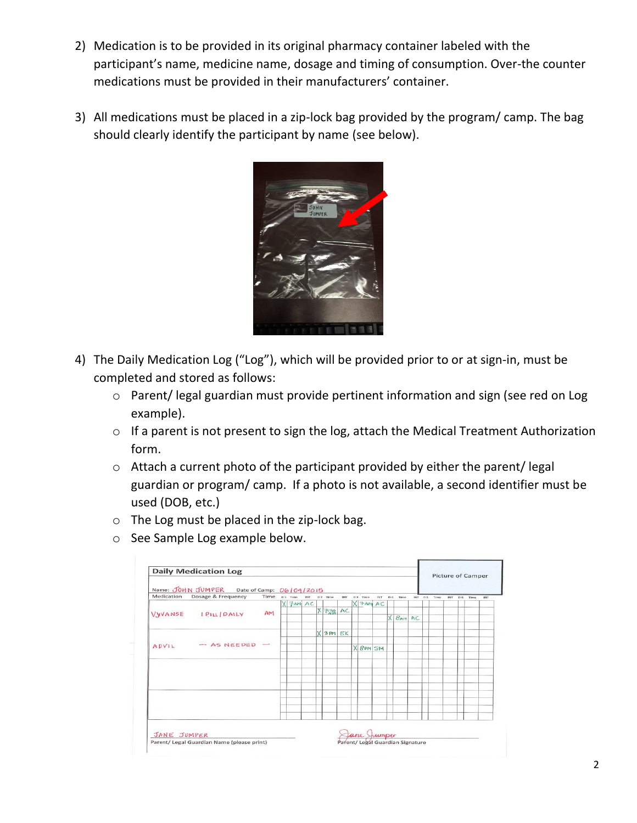- 2) Medication is to be provided in its original pharmacy container labeled with the participant's name, medicine name, dosage and timing of consumption. Over-the counter medications must be provided in their manufacturers' container.
- 3) All medications must be placed in a zip-lock bag provided by the program/ camp. The bag should clearly identify the participant by name (see below).



- 4) The Daily Medication Log ("Log"), which will be provided prior to or at sign-in, must be completed and stored as follows:
	- o Parent/ legal guardian must provide pertinent information and sign (see red on Log example).
	- o If a parent is not present to sign the log, attach the Medical Treatment Authorization form.
	- o Attach a current photo of the participant provided by either the parent/ legal guardian or program/ camp. If a photo is not available, a second identifier must be used (DOB, etc.)
	- o The Log must be placed in the zip-lock bag.
	- o See Sample Log example below.

| Name: JOHN JUMPER Date of Camp: 06/04/2015 |                    |      |  |                       |  |   |           |    |  |             |  | Picture of Camper |               |  |  |               |     |  |          |            |
|--------------------------------------------|--------------------|------|--|-----------------------|--|---|-----------|----|--|-------------|--|-------------------|---------------|--|--|---------------|-----|--|----------|------------|
| Medication                                 | Dosage & Frequency | Time |  | D.1 Time INT D.2 Time |  |   |           |    |  | INT D3 Time |  |                   | INT D4 Time   |  |  | INT D.S. Time | INT |  | D.6 Time | <b>INT</b> |
| VYVANSE                                    | IPILL DAILY        | AM   |  | $X$ $7$ $AM$ $AC$     |  |   |           |    |  | $X$ 7 AM AC |  |                   |               |  |  |               |     |  |          |            |
|                                            |                    |      |  |                       |  | X | $7.28$ AC |    |  |             |  | X                 | <b>BAN AC</b> |  |  |               |     |  |          |            |
|                                            |                    |      |  |                       |  |   |           |    |  |             |  |                   |               |  |  |               |     |  |          |            |
| ADVIL                                      | $-$ AS NEEDED $-$  |      |  |                       |  |   | X3m       | EK |  |             |  |                   |               |  |  |               |     |  |          |            |
|                                            |                    |      |  |                       |  |   |           |    |  | X 8PM SM    |  |                   |               |  |  |               |     |  |          |            |
|                                            |                    |      |  |                       |  |   |           |    |  |             |  |                   |               |  |  |               |     |  |          |            |
|                                            |                    |      |  |                       |  |   |           |    |  |             |  |                   |               |  |  |               |     |  |          |            |
|                                            |                    |      |  |                       |  |   |           |    |  |             |  |                   |               |  |  |               |     |  |          |            |
|                                            |                    |      |  |                       |  |   |           |    |  |             |  |                   |               |  |  |               |     |  |          |            |
|                                            |                    |      |  |                       |  |   |           |    |  |             |  |                   |               |  |  |               |     |  |          |            |
|                                            |                    |      |  |                       |  |   |           |    |  |             |  |                   |               |  |  |               |     |  |          |            |
|                                            |                    |      |  |                       |  |   |           |    |  |             |  |                   |               |  |  |               |     |  |          |            |